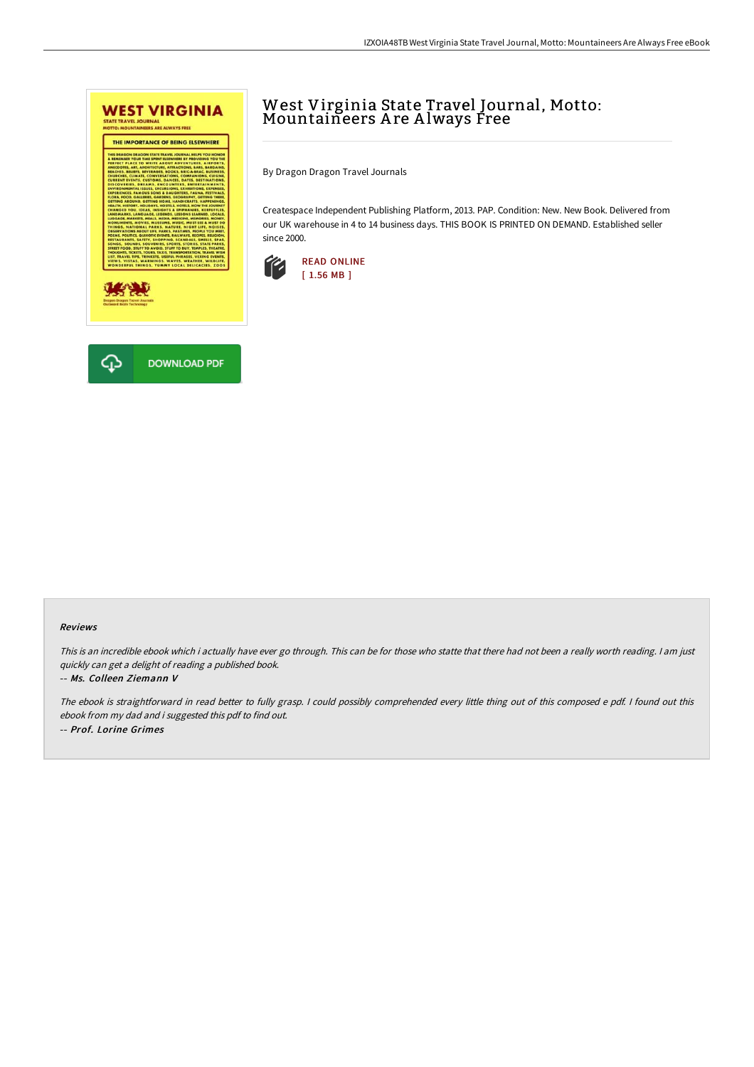

## West Virginia State Travel Journal, Motto: Mountaineers A re A lways Free

By Dragon Dragon Travel Journals

Createspace Independent Publishing Platform, 2013. PAP. Condition: New. New Book. Delivered from our UK warehouse in 4 to 14 business days. THIS BOOK IS PRINTED ON DEMAND. Established seller since 2000.



## Reviews

This is an incredible ebook which i actually have ever go through. This can be for those who statte that there had not been <sup>a</sup> really worth reading. <sup>I</sup> am just quickly can get <sup>a</sup> delight of reading <sup>a</sup> published book.

## -- Ms. Colleen Ziemann V

The ebook is straightforward in read better to fully grasp. I could possibly comprehended every little thing out of this composed e pdf. I found out this ebook from my dad and i suggested this pdf to find out. -- Prof. Lorine Grimes